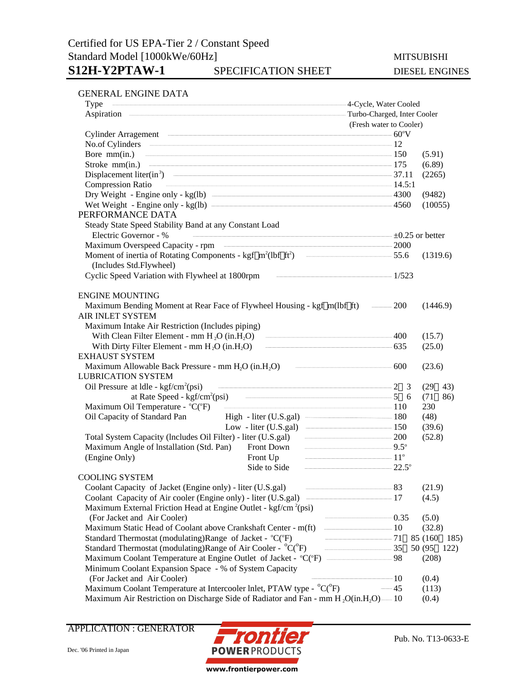## Certified for US EPA-Tier 2 / Constant Speed Standard Model [1000kWe/60Hz] MITSUBISHI S12H-Y2PTAW-1 SPECIFICATION SHEET DIESEL ENGINES

### GENERAL ENGINE DATA

| Type                                                                                                                                                                                                                                 | and a strong of the strategies of the strategies of the strategies of the strategies of the strategies of the strategies of the strategies of the strategies of the strategies of the strategies of the strategies of the stra                                                                                      |                         |                             |  |
|--------------------------------------------------------------------------------------------------------------------------------------------------------------------------------------------------------------------------------------|---------------------------------------------------------------------------------------------------------------------------------------------------------------------------------------------------------------------------------------------------------------------------------------------------------------------|-------------------------|-----------------------------|--|
| Aspiration <b>contract and a set of the set of the set of the set of the set of the set of the set of the set of the set of the set of the set of the set of the set of the set of the set of the set of the set of the set of t</b> |                                                                                                                                                                                                                                                                                                                     |                         | Turbo-Charged, Inter Cooler |  |
|                                                                                                                                                                                                                                      |                                                                                                                                                                                                                                                                                                                     | (Fresh water to Cooler) |                             |  |
|                                                                                                                                                                                                                                      | Cylinder Arragement 60°V                                                                                                                                                                                                                                                                                            |                         |                             |  |
|                                                                                                                                                                                                                                      | No.of Cylinders 212                                                                                                                                                                                                                                                                                                 |                         |                             |  |
|                                                                                                                                                                                                                                      | Bore mm(in.) $\qquad \qquad \qquad$ 150                                                                                                                                                                                                                                                                             |                         | (5.91)                      |  |
|                                                                                                                                                                                                                                      |                                                                                                                                                                                                                                                                                                                     |                         | (6.89)                      |  |
|                                                                                                                                                                                                                                      | Displacement liter(in <sup>3</sup> ) $\qquad \qquad \qquad$ 37.11                                                                                                                                                                                                                                                   |                         | (2265)                      |  |
| <b>Compression Ratio</b>                                                                                                                                                                                                             | $\frac{1}{2}$ $\frac{1}{4}$ $\frac{1}{5}$ $\frac{1}{2}$ $\frac{1}{2}$ $\frac{1}{2}$ $\frac{1}{2}$ $\frac{1}{2}$ $\frac{1}{2}$ $\frac{1}{2}$ $\frac{1}{2}$ $\frac{1}{2}$ $\frac{1}{2}$ $\frac{1}{2}$ $\frac{1}{2}$ $\frac{1}{2}$ $\frac{1}{2}$ $\frac{1}{2}$ $\frac{1}{2}$ $\frac{1}{2}$ $\frac{1}{2}$ $\frac{1}{2}$ |                         |                             |  |
|                                                                                                                                                                                                                                      | Dry Weight - Engine only - kg(lb) 4300                                                                                                                                                                                                                                                                              |                         | (9482)                      |  |
|                                                                                                                                                                                                                                      |                                                                                                                                                                                                                                                                                                                     |                         | (10055)                     |  |
| PERFORMANCE DATA                                                                                                                                                                                                                     |                                                                                                                                                                                                                                                                                                                     |                         |                             |  |
| Steady State Speed Stability Band at any Constant Load                                                                                                                                                                               |                                                                                                                                                                                                                                                                                                                     |                         |                             |  |
| Electric Governor - %                                                                                                                                                                                                                | $\overline{+0.25}$ or better                                                                                                                                                                                                                                                                                        |                         |                             |  |
|                                                                                                                                                                                                                                      | Maximum Overspeed Capacity - rpm 2000                                                                                                                                                                                                                                                                               |                         |                             |  |
|                                                                                                                                                                                                                                      | Moment of inertia of Rotating Components - kgf m <sup>2</sup> (lbf ft <sup>2</sup> ) - 55.6                                                                                                                                                                                                                         |                         | (1319.6)                    |  |
| (Includes Std.Flywheel)                                                                                                                                                                                                              |                                                                                                                                                                                                                                                                                                                     |                         |                             |  |
| Cyclic Speed Variation with Flywheel at 1800rpm                                                                                                                                                                                      | $\frac{1}{523}$                                                                                                                                                                                                                                                                                                     |                         |                             |  |
|                                                                                                                                                                                                                                      |                                                                                                                                                                                                                                                                                                                     |                         |                             |  |
| <b>ENGINE MOUNTING</b>                                                                                                                                                                                                               |                                                                                                                                                                                                                                                                                                                     |                         |                             |  |
|                                                                                                                                                                                                                                      | Maximum Bending Moment at Rear Face of Flywheel Housing - kgf m(lbf ft) — 200                                                                                                                                                                                                                                       |                         | (1446.9)                    |  |
| AIR INLET SYSTEM                                                                                                                                                                                                                     |                                                                                                                                                                                                                                                                                                                     |                         |                             |  |
| Maximum Intake Air Restriction (Includes piping)                                                                                                                                                                                     |                                                                                                                                                                                                                                                                                                                     |                         |                             |  |
|                                                                                                                                                                                                                                      | With Clean Filter Element - mm $H_2O$ (in $H_2O$ ) $\qquad \qquad \qquad 400$                                                                                                                                                                                                                                       |                         | (15.7)                      |  |
|                                                                                                                                                                                                                                      | With Dirty Filter Element - mm $H_2O$ (in $H_2O$ ) $\qquad \qquad \qquad$ 635                                                                                                                                                                                                                                       |                         | (25.0)                      |  |
| <b>EXHAUST SYSTEM</b>                                                                                                                                                                                                                |                                                                                                                                                                                                                                                                                                                     |                         |                             |  |
|                                                                                                                                                                                                                                      | Maximum Allowable Back Pressure - mm $H_2O$ (in $H_2O$ ) $\qquad \qquad \qquad 600$                                                                                                                                                                                                                                 |                         | (23.6)                      |  |
| <b>LUBRICATION SYSTEM</b>                                                                                                                                                                                                            |                                                                                                                                                                                                                                                                                                                     |                         |                             |  |
| Oil Pressure at Idle - $\text{kgf/cm}^2(\text{psi})$                                                                                                                                                                                 | $\overline{\phantom{a}2}$                                                                                                                                                                                                                                                                                           | -3                      | (29)<br>43)                 |  |
|                                                                                                                                                                                                                                      | at Rate Speed - $\text{kgf/cm}^2(\text{psi})$ $\qquad \qquad \qquad$ 5 6                                                                                                                                                                                                                                            |                         | (71)<br>86)                 |  |
| Maximum Oil Temperature - $^{\circ}C(^{\circ}F)$                                                                                                                                                                                     |                                                                                                                                                                                                                                                                                                                     |                         | 230                         |  |
|                                                                                                                                                                                                                                      | High - liter (U.S.gal) <u>_______________</u> 180                                                                                                                                                                                                                                                                   |                         |                             |  |
| Oil Capacity of Standard Pan                                                                                                                                                                                                         | Low - liter (U.S.gal) $\frac{150}{256}$                                                                                                                                                                                                                                                                             |                         | (48)                        |  |
|                                                                                                                                                                                                                                      |                                                                                                                                                                                                                                                                                                                     |                         | (39.6)                      |  |
|                                                                                                                                                                                                                                      | Front Down                                                                                                                                                                                                                                                                                                          |                         | (52.8)                      |  |
| Maximum Angle of Installation (Std. Pan)                                                                                                                                                                                             | Front Up $11^{\circ}$                                                                                                                                                                                                                                                                                               |                         |                             |  |
| (Engine Only)                                                                                                                                                                                                                        | $\frac{1}{22.5^{\circ}}$                                                                                                                                                                                                                                                                                            |                         |                             |  |
|                                                                                                                                                                                                                                      | Side to Side                                                                                                                                                                                                                                                                                                        |                         |                             |  |
| <b>COOLING SYSTEM</b>                                                                                                                                                                                                                | $\frac{1}{2}$                                                                                                                                                                                                                                                                                                       |                         |                             |  |
| Coolant Capacity of Jacket (Engine only) - liter (U.S.gal)                                                                                                                                                                           |                                                                                                                                                                                                                                                                                                                     |                         | (21.9)                      |  |
|                                                                                                                                                                                                                                      | Coolant Capacity of Air cooler (Engine only) - liter (U.S.gal) - 17                                                                                                                                                                                                                                                 |                         | (4.5)                       |  |
| Maximum External Friction Head at Engine Outlet - kgf/cm <sup>2</sup> (psi)                                                                                                                                                          | $\frac{1}{2}$                                                                                                                                                                                                                                                                                                       |                         |                             |  |
| (For Jacket and Air Cooler)                                                                                                                                                                                                          |                                                                                                                                                                                                                                                                                                                     |                         | (5.0)                       |  |
| Maximum Static Head of Coolant above Crankshaft Center - m(ft)                                                                                                                                                                       | $\frac{10}{2}$                                                                                                                                                                                                                                                                                                      |                         | (32.8)                      |  |
| Standard Thermostat (modulating)Range of Jacket - °C(°F)                                                                                                                                                                             | $-71$                                                                                                                                                                                                                                                                                                               |                         | 85 (160)<br>185)            |  |
| Standard Thermostat (modulating)Range of Air Cooler - °C(°F)                                                                                                                                                                         | $\frac{1}{35}$                                                                                                                                                                                                                                                                                                      |                         | 50 (95 122)                 |  |
|                                                                                                                                                                                                                                      | Maximum Coolant Temperature at Engine Outlet of Jacket - °C(°F) — 98                                                                                                                                                                                                                                                |                         | (208)                       |  |
| Minimum Coolant Expansion Space - % of System Capacity                                                                                                                                                                               |                                                                                                                                                                                                                                                                                                                     |                         |                             |  |
| (For Jacket and Air Cooler)                                                                                                                                                                                                          |                                                                                                                                                                                                                                                                                                                     | $-10$                   | (0.4)                       |  |
|                                                                                                                                                                                                                                      | Maximum Coolant Temperature at Intercooler Inlet, PTAW type - °C(°F)                                                                                                                                                                                                                                                | $-45$                   | (113)                       |  |
|                                                                                                                                                                                                                                      | Maximum Air Restriction on Discharge Side of Radiator and Fan - mm H <sub>2</sub> O(in.H <sub>2</sub> O) - 10                                                                                                                                                                                                       |                         | (0.4)                       |  |

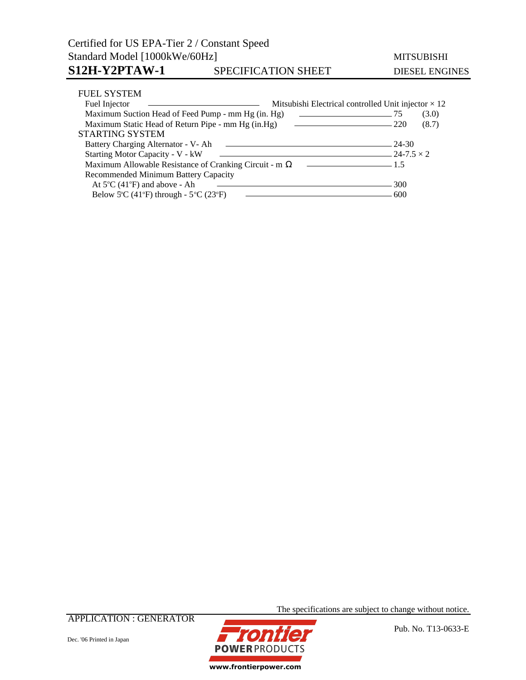| Certified for US EPA-Tier 2 / Constant Speed                                                                                                                               |                                                                                                                                               |       |                       |  |  |
|----------------------------------------------------------------------------------------------------------------------------------------------------------------------------|-----------------------------------------------------------------------------------------------------------------------------------------------|-------|-----------------------|--|--|
| Standard Model [1000kWe/60Hz]                                                                                                                                              |                                                                                                                                               |       | <b>MITSUBISHI</b>     |  |  |
| S12H-Y2PTAW-1                                                                                                                                                              | SPECIFICATION SHEET                                                                                                                           |       | <b>DIESEL ENGINES</b> |  |  |
| <b>FUEL SYSTEM</b>                                                                                                                                                         |                                                                                                                                               |       |                       |  |  |
| Fuel Injector                                                                                                                                                              | Mitsubishi Electrical controlled Unit injector $\times$ 12<br>the contract of the contract of the contract of the contract of the contract of |       |                       |  |  |
| Maximum Suction Head of Feed Pump - mm Hg (in. Hg)<br><u> Alexandria de la contrada de la contrada de la contrada de la contrada de la contrada de la contrada de la c</u> |                                                                                                                                               |       | (3.0)                 |  |  |
| Maximum Static Head of Return Pipe - mm Hg (in.Hg)                                                                                                                         | 220<br>the contract of the contract of the contract of the contract of the contract of                                                        | (8.7) |                       |  |  |
| <b>STARTING SYSTEM</b>                                                                                                                                                     |                                                                                                                                               |       |                       |  |  |

Battery Charging Alternator - V- Ah 24-30

Maximum Allowable Resistance of Cranking Circuit - m 1.5

Recommended Minimum Battery Capacity

Below 5°C (41°F) through -  $5^{\circ}$ C (23°

At  $5^{\circ}$ C (41<sup>o</sup>

Starting Motor Capacity - V - kW  $\qquad$  24-7.5 × 2<br>Maximum Allowable Resistance of Cranking Circuit - m  $\qquad$  24-7.5 × 2

APPLICATION : GENERATOR



The specifications are subject to change without notice.

 $- 300$ 

F) 600

Pub. No. T13-0633-E

Dec. '06 Printed in Japan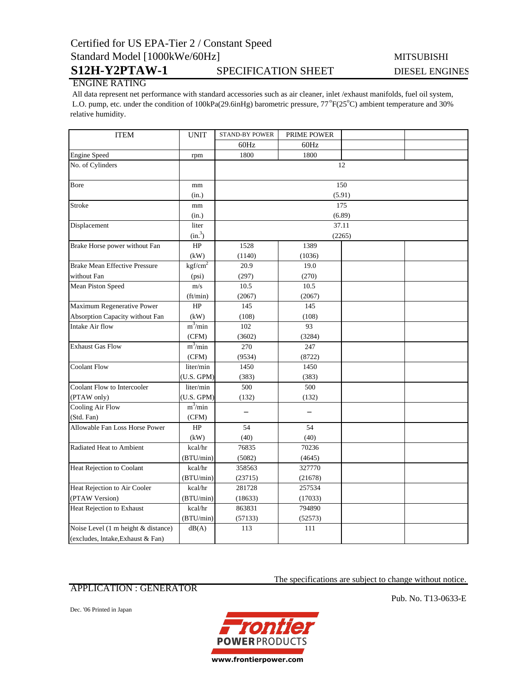# Certified for US EPA-Tier 2 / Constant Speed Standard Model [1000kWe/60Hz] MITSUBISHI

## S12H-Y2PTAW-1 SPECIFICATION SHEET DIESEL ENGINES

### ENGINE RATING

 All data represent net performance with standard accessories such as air cleaner, inlet /exhaust manifolds, fuel oil system, L.O. pump, etc. under the condition of 100kPa(29.6inHg) barometric pressure, 77°F(25°C) ambient temperature and 30% relative humidity.

| <b>ITEM</b>                          | <b>UNIT</b>         | <b>STAND-BY POWER</b> | PRIME POWER |  |  |  |
|--------------------------------------|---------------------|-----------------------|-------------|--|--|--|
|                                      |                     | 60Hz                  | 60Hz        |  |  |  |
| <b>Engine Speed</b>                  | rpm                 | 1800                  | 1800        |  |  |  |
| No. of Cylinders                     |                     | 12                    |             |  |  |  |
| Bore                                 | mm                  | 150                   |             |  |  |  |
|                                      | (in.)               |                       | (5.91)      |  |  |  |
| Stroke                               | mm                  | 175                   |             |  |  |  |
|                                      | (in.)               | (6.89)                |             |  |  |  |
| Displacement                         | liter               | 37.11                 |             |  |  |  |
|                                      | (in. <sup>3</sup> ) |                       | (2265)      |  |  |  |
| Brake Horse power without Fan        | HP                  | 1528                  | 1389        |  |  |  |
|                                      | (kW)                | (1140)                | (1036)      |  |  |  |
| <b>Brake Mean Effective Pressure</b> | kgf/cm <sup>2</sup> | 20.9                  | 19.0        |  |  |  |
| without Fan                          | (psi)               | (297)                 | (270)       |  |  |  |
| Mean Piston Speed                    | m/s                 | 10.5                  | 10.5        |  |  |  |
|                                      | (ft/min)            | (2067)                | (2067)      |  |  |  |
| Maximum Regenerative Power           | HP                  | 145                   | 145         |  |  |  |
| Absorption Capacity without Fan      | (kW)                | (108)                 | (108)       |  |  |  |
| Intake Air flow                      | $m^3$ /min          | 102                   | 93          |  |  |  |
|                                      | (CFM)               | (3602)                | (3284)      |  |  |  |
| <b>Exhaust Gas Flow</b>              | $m^3/m$ in          | 270                   | 247         |  |  |  |
|                                      | (CFM)               | (9534)                | (8722)      |  |  |  |
| <b>Coolant Flow</b>                  | liter/min           | 1450                  | 1450        |  |  |  |
|                                      | (U.S. GPM)          | (383)                 | (383)       |  |  |  |
| Coolant Flow to Intercooler          | liter/min           | 500                   | 500         |  |  |  |
| (PTAW only)                          | (U.S. GPM)          | (132)                 | (132)       |  |  |  |
| <b>Cooling Air Flow</b>              | $m^3/m$ in          |                       |             |  |  |  |
| (Std. Fan)                           | (CFM)               |                       |             |  |  |  |
| Allowable Fan Loss Horse Power       | HP                  | 54                    | 54          |  |  |  |
|                                      | (kW)                | (40)                  | (40)        |  |  |  |
| Radiated Heat to Ambient             | kcal/hr             | 76835                 | 70236       |  |  |  |
|                                      | (BTU/min)           | (5082)                | (4645)      |  |  |  |
| Heat Rejection to Coolant            | kcal/hr             | 358563                | 327770      |  |  |  |
|                                      | (BTU/min)           | (23715)               | (21678)     |  |  |  |
| Heat Rejection to Air Cooler         | kcal/hr             | 281728                | 257534      |  |  |  |
| (PTAW Version)                       | (BTU/min)           | (18633)               | (17033)     |  |  |  |
| Heat Rejection to Exhaust            | kcal/hr             | 863831                | 794890      |  |  |  |
|                                      | (BTU/min)           | (57133)               | (52573)     |  |  |  |
| Noise Level (1 m height & distance)  | dB(A)               | 113                   | 111         |  |  |  |
| (excludes, Intake, Exhaust & Fan)    |                     |                       |             |  |  |  |

### APPLICATION : GENERATOR

The specifications are subject to change without notice.

Dec. '06 Printed in Japan



Pub. No. T13-0633-E